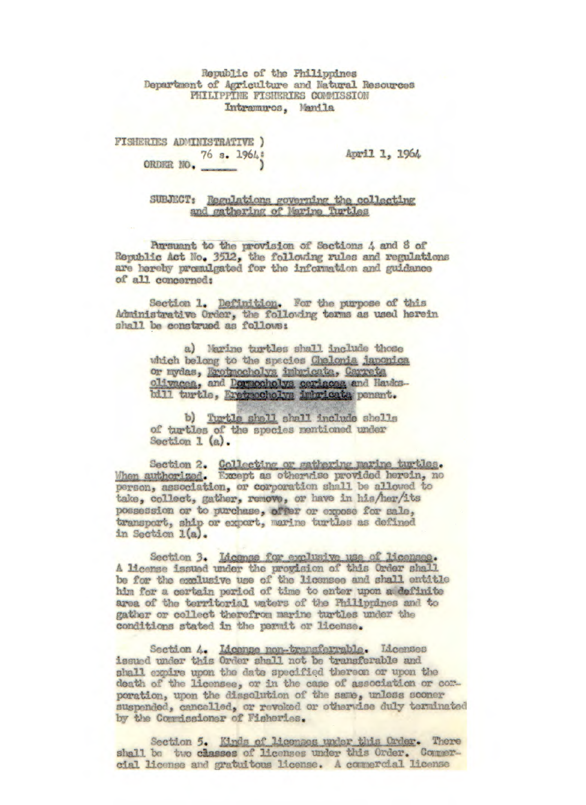Republic of the Philippines Department of Agriculture and Natural Resources PHILIPPINE FISHERIES COMMISSION Intramuros, Manila

FISHERIES ADMINISTRATIVE ) ORDER NO. 76 s. 1964;

April 1, 1964

SUBJECT: Regulations governing the collecting and gathering of Marine Turtles

Pursuant to the provision of Sections 4 and 8 of Republic Act No. 3512, the following rules and regulations are hereby promulgated for the information and guidance of all concerned:

Section 1. Definition. For the purpose of this Administrative Order, the following terms as used herein shall be construed as follows:

> a) Marine turtles shall include those which belong to the spacies Chelonia japonica or mydas, Erotmocholys imbricata, Carreta olivacea, and Dormocholys ceriacea and Hawksbill turtle, Eretmocholys imbricata penant.

b) Turtle shell shall include shells of turtles of the species mentioned under Section  $1(a)$ .

Section 2. Collecting or gathering marine turtles. When authorized. Except as otherwise provided herein, no person, association, or corporation shall be allowed to take, collect, gather, remove, or have in his/her/its possession or to purchase, offer or expose for sale, transport, ship or export, marine turtles as defined in Section 1(a).

Section 3. License for exclusive use of licensee. A license issued under the provision of this Order shall be for the exclusive use of the licensee and shall entitle him for a certain period of time to enter upon a definite area of the territorial waters of the Philippines and to gather or collect therefrom marine turtles under the conditions stated in the permit or license.

Section 4. <u>Idcense non-transferrable</u>. Licenses<br>issued under this Order shall not be transferable and shall expire upon the date specified thereon or upon the death of the licensee, or in the case of association or comporation, upon the dissolution of the same, unless sooner suspended, cancelled, or revoked or otherwise duly terminated by the Commissioner of Fisheries.

Section 5. Kinds of licenses under this Order. There shall be two classes of licenses under this Order. Commercial license and gratuitous license. A commercial license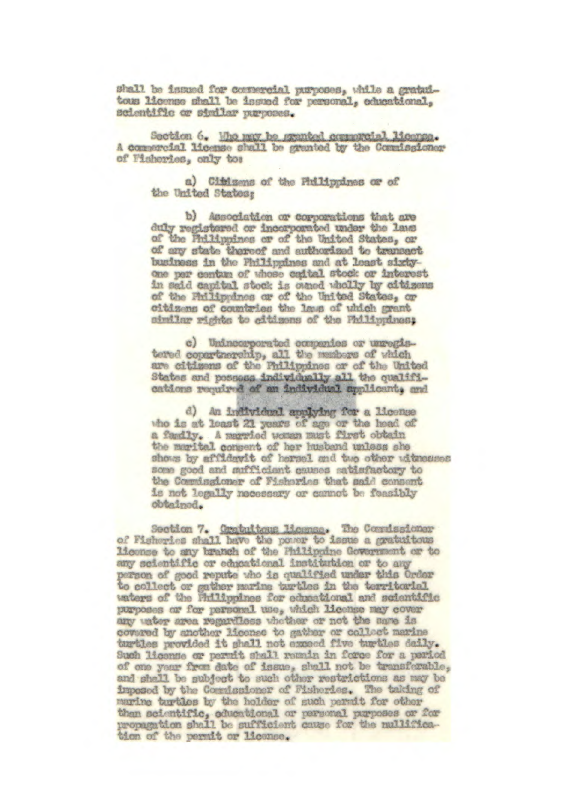shall be issued for comercial purposes, while a gratuitous license shall be issued for personal, educational, scientific or similar purposes.

Section 6. Who may be granted compretel license. A comparcial license shall be granted by the Commissionerof Fisheries, only to:

> a) Citizens of the Prilippines or of the United States;

b) Association or corporations that are duly registered or incorporated under the laws of the Philippines or of the United States, or of any state thereof and authorized to transact business in the Philippines and at least sixtyone per centum of whose caital stock or interest in said capital stock is owned wholly by citizens of the Fhilippines or of the United States, or citizens of countries the lass of which grant similar rights to citizens of the Philippines:

c) Unincorporated companies or unregistered copertnership, all the members of which are citizens of the Philippines or of the United States and possess individually all the qualifications required of an individual applicant, and

d) An individual applying for a license the is at least 21 years of age or the head of a family. A married woman must first obtain the marital compent of her husband unless she shows by affidavit of hersel and two other witnesses some good and sufficient causes satisfactory to the Commissioner of Fisheries that said consent is not legally necessary or cannot be feasibly obtained.

Section 7. Cratuitous licomse. The Commissioner of Fisheries shall have the power to issue a gratuitous license to any branch of the Philippine Government or to any scientific or educational institution or to any parson of good repute who is qualified under this Order to collect or gather marine turtles in the territorial waters of the Philippines for educational and scientific purposes or for personal use, which license may cover any water area regardless whother or not the same is covered by another license to gather or collect marine turtles provided it shall not exceed five turtles daily. Such license or permit shall remain in force for a period of one year from date of issue, shall not be transferable, and shall be subject to such other restrictions as may be imposed by the Commissioner of Fisheries. The taking of marine turtles by the holder of such permit for other then scientific, educational or parsonal purposes or for propagation shall be sufficient cause for the mullification of the permit or license.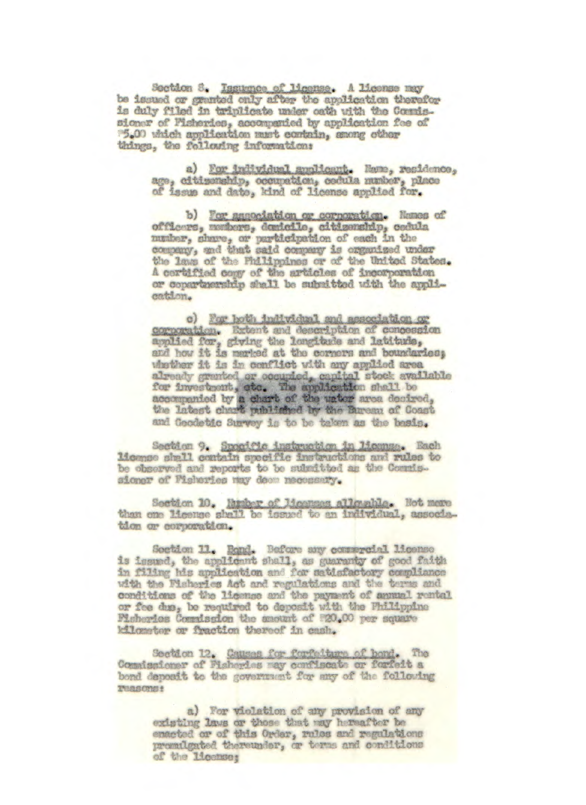Section 6. Issumee of license. A license may be issued or granted only after the application therefor is duly filed in triplicate under oath with the Comissioner of Pisheries, accompanied by application fee of things, the following information:

> a) For individual suplicant. Name, residence, age, citimenship, occupation, codula number, place of issue and date, kind of license applied for.

b) For association or corporation. Names of officers, members, demicile, citizenship, cedula musher, share, or participation of each in the company, and that said company is organized under the laws of the Philippines or of the United States. A certified comy of the articles of incorporation or copartmership shall be submitted with the application.

c) For hoth individual and association or corporation. Extent and description of concession applied for, giving the longitude and latitude, and how it is marked at the corners and boundaries; whether it is in conflict with any applied area already granted or occupied, capital stock available<br>for investment, etc. The application shall be<br>accompanied by a chart of the union area desired, the latest chart published by the Bureau of Coast and Goodetic Survey is to be taken as the bosis.

Section 9. Specific instruction in License. Each<br>1icense shall contain specific instructions and rules to be observed and reports to be subsitted as the Commissioner of Fisheries may deem necessary.

Section 10. Runber of Moonses allowable. Not more than one license shall be issued to an individual, association or corporation.

Soction 11. Bond. Before any commercial license is issued, the applicant shall, as guaranty of good faith in filing his application and for satisfactory compliance with the Fisherics Act and regulations and the terms and conditions of the license and the payment of annual rental or fee dus, be required to deposit with the Philippine Pisheries Commission the smount of #20.00 per square kilometer or fraction thereof in cash.

Section 12. Causes for forfolture of bond. The Commissioner of Fisheries may confiscate or forfeit a bond deposit to the government for any of the following Teasons:

> a) For violation of any provision of any existing laws or those that may hereafter be enacted or of this Order, rules and regulations premilgated thereunder, or terms and conditions of the license;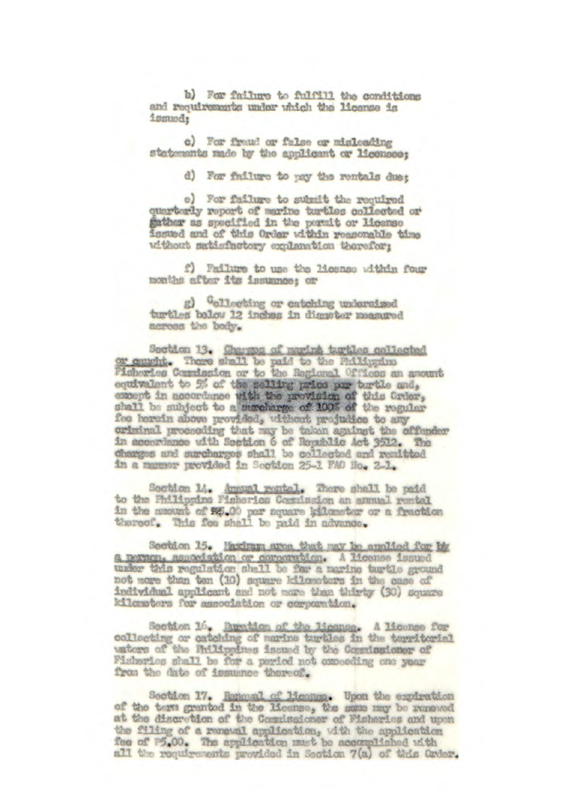b) For failure to fulfill the conditions and requirements under which the license is ismudt

c) For fraud or false or misleading statements made by the applicant or licensee:

d) For failure to pay the rentals due;

e) For failure to subsit the required quarterly report of marine turtles collected or father as specified in the permit or license issued and of this Order within reasonable time without satisfactory explanation therefor:

f) Failure to use the license within four months after its issummoe; or

g) "ollecting or entching undersized turtles below 12 inches in digneter measured across the body.

Section 13. Charges of marine turbles collected<br>or caught. These shall be paid to the Philippine equivalent to 5% of the selling price por turtle and, except in accordance with the provision of this Crder, fee herein above provided, without projudice to any criminal proceeding that may be taken against the offender in accordance with Section 6 of Republic Act 3512. The charges and surcharges shall be collected and remitted in a manner provided in Section 25-1 FAO Ho. 2-1.

Section 14. Annual rental. There shall be paid to the Philippine Fisheries Cosmission an annual rental in the mount of \$5.00 per square kilometer or a fraction thoreof. This fee shall be paid in advance.

Section 15. Maximum area that may be anniied for by a person, association or corporation. A license issued under this regulation shell be few a marine turtle ground not more than ten (10) square kilometers in the case of individual applicant and not more than thirty (30) square kilometers for association or corporation.

Section 16. Duration of the license. A license for collecting or catching of marine turtles in the territorial unters of the Rulippines issued by the Commissioner of Fisheries shall be for a period not exceeding one year from the date of issumee thereof.

Section 17. Reneval of License. Upon the expiration of the term granted in the license, the same may be renewed at the discretion of the Comulsaioner of Fisharies and upon the filing of a remewal application, with the application fee of P5.00. The application must be accomplished with all the requirements provided in Section 7(a) of this Order.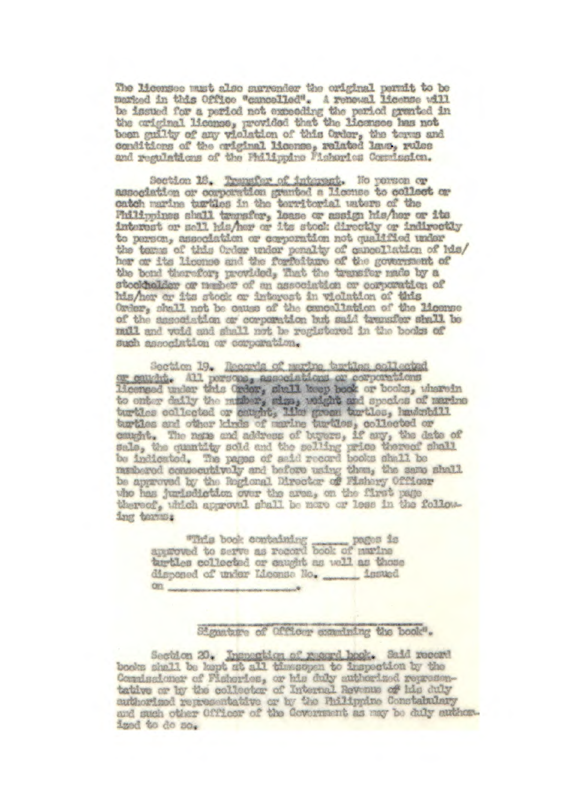The licensee must also surrender the original permit to be marked in this Office "cancelled". A renowal license will be insued for a period not expending the period granted in the original license, provided that the licensee has not been guilty of any violation of this Order, the terms and conditions of the original license, related laws, reles and regulations of the Philippine Fisharica Commission.

Section 18. Transfer of interest. No person or association or corporation granted a license to collect or catch marine turtles in the territorial unters of the<br>Philippines shall transfer, lease or assign his/hor or its<br>interest or sell his/her or its stock directly or indirectly to person, association or corporation not qualified under the terms of this Order under penalty of cancellation of his/ her or its license and the forfeiture of the government of the bond therefor; provided, That the transfer made by a stockholder or member of an association or corporation of his/her or its stock or interest in violation of this Order, shall not be cause of the cancellation of the license of the association or corporation but said transfer shall be mull and void and shall not be registered in the books of such association or corporation.

Section 19. Records of perine terties collected r carring. All porsone, associations or corporations licensed under this Order, shall keep book or books, wherein to onter daily the multer, sign, weight and species of marine turtles collegied or caught, like green turtles, hawkstell<br>turtles collegied or caught, like green turtles, hawkstell<br>turtles and other kinds of marine turtles, mashered consecutively and before using them, the same shall who has jurisdiction over the area, on the first page thereof, which approval shall be nore or less in the following terms.

> pages is took containing pages is pegos is turtles collected or eaught as well as those  $\alpha$

> > Signature of Officer examining the book".

Section 20. Inspection of record book. Said record books shell be kept at all timesupen to inspection by the Commissioner of Fisheries, or his duly authorized representative or by the collector of Internal Revenue of his duly authorised representative or by the Philippine Constabulary and such other Officer of the Covernment as may be duly author. iged to do so.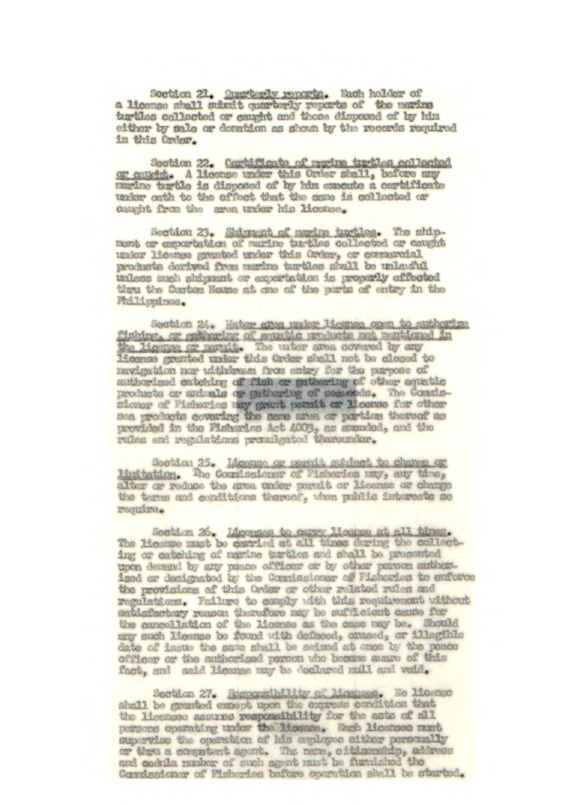Section 21. Ounricoly reparts. Each holder of a license shall submit quarterly reports of the marine turtles collected or caught and those disposed of by him either by sale or denation as shown by the records required in this Order.

Section 22. Cortificate of morine turbles collected or catchi. A license under this Order shall, before any marine turtle is disposed of by him execute a cortificate under onth to the effect that the seme is collected or caught from the area under his license.

Section 23. Shirmont of merine tartles. The shipment or exportation of marine turtles collected or caught under licence granted under this Order, or commercial products derived from marine turtles shall be unlawful. unless such shipsent or experietion is properly offerted tiou the Custom House at one of the ports of entry in the Fhilippines.

Section 24. Water area under Isconse open to authorize Tabing, or gathering of agunde products not muticaed in the ligene or martite The unter area covered by any liconse granted under this Order shall not be closed to navigation nor uithdrawn from entry for the purpose of authorized catching of fish or guideaving of other aquatic products or animals or gathering of searcods. The Consissioner of Pisheries may grant permit or Moonse for other Sea products covering the same anes or pertine thereof as provided in the Pishorics Act 4003, as smended, and the rules and regulations promigated thaterndor.

Section 25. Moonge or persit madect to change or limitation. The Commissioner of Pisheries may, any time, alter or reduce the srea under pormit or license or change the terms and conditions thereof, when public interests so require.

Section 26. Ideonass to come license at all times.<br>The license must be carried at all times during the collecting or catching of marine turtien and shall be prosented upon demand by any paace officer or by other person authorized or designated by the Commissioner of Fisherics to enforce the provisions of this Order or other related rules and regulations. Failure to comply with this requirement without satisfactory reason therefore may be sufficient camee for the cancellation of the license as the case may be. Should any such license be found with defaced, crused, or illegible date of issue the same shall be seized at once by the peace officer or the authorized person who became aware of this fact, and said license may be declared mill and void.

Section 27. Remonstrativ of Moonsee. No Micenso shall be granted except upon the express condition that the licensee assures responsibility for the acts of all persons operating under the license. Each licenses must mpervise the operation of his employee elther personally or thes a competent agent. The name, citizenship, address Cornisaioner of Fisherica before operation shall be sterted.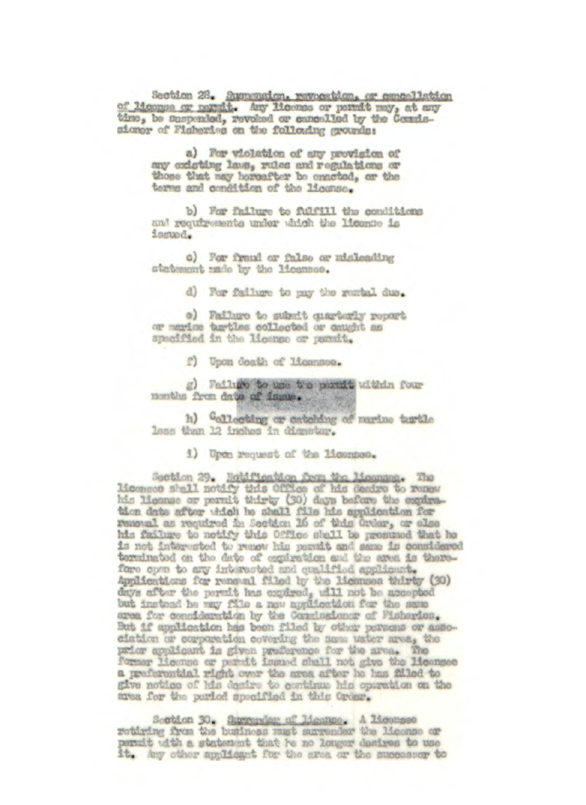Section 26. Suspension, revocation, or cancellation of liconse or manit. Any licones or permit may, at any time, be cuspended, revoked or cancelled by the Commissioner of Fisheries on the following grounds:

> a) For violation of any provision of any existing laws, rules and regulations or those that may horeafter be enacted, or the terms and condition of the license.

b) For failure to fulfill the conditions and requirements under which the license is issued.

c) For fraud or false or misleading statement made by the licenson.

d) For failure to pay the runtal due.

e) Failure to submit gaarterly report or marine tartles collected or caught as specified in the license or parait.

f) Upon death of Licenson.

g) Failure to use the portit within four months from date of issue.

h) Collocting or catching of marine turtle less than 12 inches in dismeter.

i) Upon request of the licenses.

Section 29. Notification form the Mosmans. The Moonsoo shall notify this Office of his desire to remember the Moons or permit thirty (30) days before the explication for the application for removal as required in Social 16 of this Order, or also his failure to notify this Office shall be presumed that he is not interested to remow his permit and same is considered terminated on the date of expiration and the area is therefore open to any interested and qualified applicant. Applications for renewal filed by the licenses thirty (30) days after the permit has copired, will not be accepted but instead he way file a new application for the same area for consideration by the Consistioner of Pisheries. But if application has been filed by other persons or association or corporation covering the same water muss, the prior applicant is given preference for the area. The former license or pormit issued shall not give the licenses a preferential right over the srea after he has filled to give notice of his desire to centinue his operation on the area for the period specified in this Order.

Section 30. Surrender of License. A License rotiring from the business must surrender the license or permit with a statement that he no longer desires to use it. Any other applicant for the area or the successor to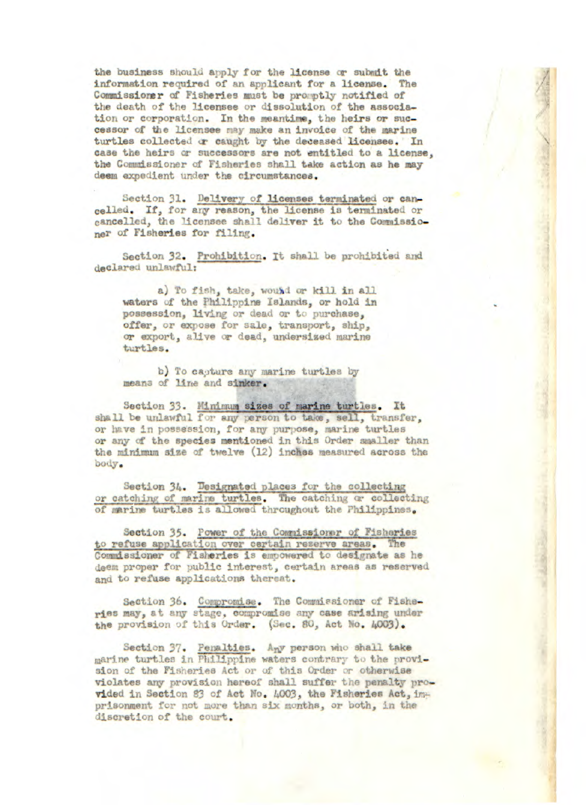**the business should apply for the license or submit the**  information required of an applicant for a **license. The Coimiissiorer of Fisheries must** be prooptly notified of the death of the licensee or dissolution of the **associa**tion or corporation. In the meantime, the heirs or successor of the licensee may make an invoice of the marine turtles collected or caught by the deceased licensee. In case the heirs or successors are not entitled to a license. **the** Commissioner of **Fisheries** shall take action as he may *deem expedient under* the circumstances.

Section 31. Delivery of licenses terminated or can*celled. If, for any reason,* the license is tenninated or cancelled, the licensee shall deliver it to the Commissio**nor** of Fisheries for filing.

Section 32. Prohibition. It shall be prohibited and declared unlawful:

a) To fish, take, wound or kill in all **waters** of the Philippine Islands, or hold **in**  possession, living or dead or to purchase, offer, or expose for sale, transport, ship, or export, alive or dead, undersized marine turtles.

b) To capture any marine turtles by **means** of line and sinker,

Section 33. Minimum sizes of marine turtles. It shall be unlawful for any person to take, sell, transfer, or have in possession, for any purpose, marine turtles or any of **the species** mentioned in this Order smaller than the minimum **size** of twelve (12) Inches measured across the body.

Section 34. Designated places for the collecting or catching of marine turtles. The catching or collecting of nrine turtles is allowed throughout the *Philippines.* 

Section *35.* Power of the Connissioner of Fisheries to refuse application over certain reserve areas, The Commissioner Fisheries is empowered to **designate** as he deem proper for public interest, certain areas as reserved and to refuse applications thereat.

Section 36. Compromise. The Commissioner of Fishe**ries** may, at any etae, corproaiiso nny **case** arising under the provision of this Order. (Sec. 80, Act No. 4003).

Section 37. Penalties. Any person who shall take marine turtles in Philippine waters contrary to the provi**sion** of the Fisheries Act or of this Order or otherwise violates any provision hereof shall **suffer** tio penalty provided in Section 83 of Act No. 4003, the Fisheries Act, imprlsonment for not more than six months, or both, in the discretion of the court,